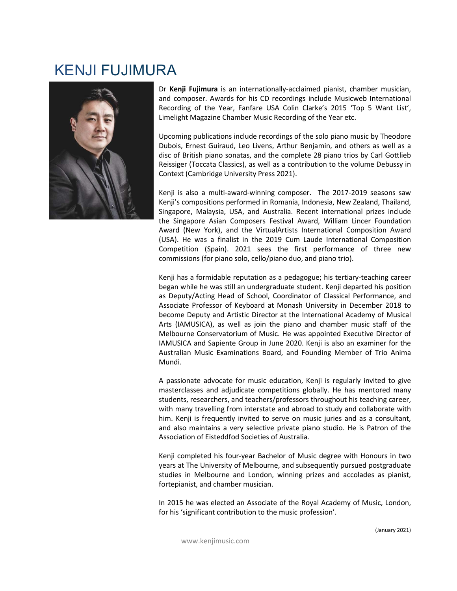## KENJI FUJIMURA



RA<br>
Dr Kenji Fujimura is an internationally-acclaimed pianist, chamber musician,<br>
and composer. Awards for his CD recordings include Musicweb International<br>
Recording of the Year, Fanfare USA Colin Clarke's 2015 Top 5 Want **AA**<br>
Dr Kenji Fujimura is an internationally-acclaimed pianist, chamber musician,<br>
and composer. Awards for his CD recordings include Musicweb International<br>
Recording of the Year, Fanfare USA Colin Clarke's 2015 Top 5 Wa **Example 18**<br> **Recording of the Year, Fanfare USA Colin Clarke's 2015 'Top 5 Want List',**<br>
and composer. Awards for his CD recordings include Musicweb International<br>
Recording of the Year, Fanfare USA Colin Clarke's 2015 '

**Example 18**<br> **Example 10**<br> **Example 10**<br> **Example 10**<br> **Example 10**<br> **Example 10**<br> **Example 10**<br> **Example 10**<br> **Example 10**<br> **Example 10**<br> **Example 10**<br> **Example 10**<br> **Upcoming publications include recordings of the Solo Example 19**<br> **Example Fuginura** is an internationally-acclaimed pianist, chamber musician,<br>
and composer. Awards for his CD recordings include Musicweb International<br>
Recording of the Year, Fanfare USA Colin Clarke's 2015 **Example 18**<br>
Dr Kenji Fujimura is an internationally-acclaimed pianist, chamber musician,<br>
and composer. Awards for his CD recordings include Musicweb International<br>
Recording of the Year, Fanfare USA Colin Clarke's 2015 **Example 12**<br> **Constraint Property:** Awards for his CD recordings include Musicweb International<br>
Recording of the Year, Fanfare USA Colin Clarke's 2015 Top 5 Want List',<br>
Limelight Magazine Chamber Music Recording of the **RA**<br>
Dr Kenji Fujimura is an internationally-acclaimed pianist, chamber musician,<br>
and composer. Awards for his CD recordings include Musicweb International<br>
Recording of the Year, Fanfare USA Colin Clarke's 2015 'Top 5 W **Example 12**<br> **Context**<br> **Context (Cambridge Of the Yend Scotter)**<br> **Context (Cambridge University Context (CAMBT)**<br> **Context (Cambridge University Press 2021)**<br> **Context (Cambridge University Press 2021)**<br> **Context (Cambr** 

**Example 12**<br>
The **Kenji Fujimura** is an internationally-acclaimed pianist, chamber musician,<br>
Recording of the Year, Fanfare USA Colin Clarke's 2015<sup>-</sup> Top 5 Want List',<br>
Limelight Magazine Chamber Music Recording of the **Example 12**<br>
The **Kenji Fujimura** is an internationally-acclaimed pianist, chamber musician,<br>
anecording of the Year, Fanfare USA Colin Clarke's 2015 'Top 5 Want List',<br>
Limelight Magazine Chamber Music Recording of the Y **Example 12**<br> **Singapore Converts of the Vero Convertsion** Convertison and composer. Awards for his CD recordings include Musicweb International<br>
Recording of the Year, Fanfare USA Colin Clarke's 2015 Top 5 Want List',<br>
Li **Example 11**<br>
Dr **Kenji Fujimura** is an internationally-acclaimed pianist, chamber musician,<br>
and composer. Awards for his CD recordings include Musicweb International<br>
Recording of the Year, Fanfare USA Colin Clarke's 201 **Example 12**<br>
The **Kenji Fujimura** is an internationally-acclaimed pianist, chamber musician,<br>
and composer. Awards for his CD recordings include Musicweb International<br>
Recording of the Year, Fanfare USA Colin Clarké's 20 **Example 12**<br>
Dr **Kenji Fujimura** is an internationally-acclaimed pianist, chamber musician,<br>
and composer. Awards for his CD recordings include Musicweb International<br>
Limelight Magazine Chamber Music Recording of the Yea **2.4**<br> **Competical Competition Competical Control Control Control Control Control Control Control Control Control Control Control Control Control Control Control Control Control Contro** commissions (for piano solo, cello/piano duo, and piano trio). Dreturn Furniture is an intertrational my-cattamete puration and composer. Awards for his CD recordings include Musicweb International Recording of the Year, Fanfare USA Colin Clarke's 2015 Top 5 Want List', Limelight Maga an composer. Awars tor ins correlatings include inustance international<br>Recording of the Year, Fanfare USA Colin Clarké's 2015 Top 5 Want List',<br>Limelight Magazine Chamber Music Recording of the Year etc.<br>
Upcoming publica

Actionary or the Tear, ranner Osa Court Caretes 2013 Top 3 want List, the Unellight Magazine Chamber Music Recording of the Vear etc.<br>
Upcoming publications include recordings of the solo piano music by Theodore<br>
Dubois, E Einelight wagazine channoer wusst necoroling of the rear etc.<br>
Upcoming publications include recordings of the solo piano music by Theodore<br>
disc of British piano sonatas, and the complete 28 piano trios by Carl Gottlieb<br> Upcoming publications include recordings of the solo piano music by Theodore<br>Dubois, Ernest Guiraud, Leo Livens, Arthur Benjamin, and others as well as a<br>disc of British piano sonatas, and the complete 28 piano trios by Ca Dublois, Ernest Guiraudous Include recordings or the solo plano in unsto by the coupled as disc of British piano sonatas, and the complete 28 piano trios by Carl Gottlieb Coccase Classics), as well as a contribution to the Dutions, Ernest utiliant, eto tue tuest, Mirun Bergamini, and outers as well as of British piano sonatas, and the complete 28 piano trios by Carl Gottlieb<br>Reissiger (Tocceta Classics), as well as a contribution to the volu IST CONTIG THE THE THE CONDIGATE THE CONDIGATE AND THE CONDUCTED SURFACT INTERNATION DRESSIGN (To Cocata Classics), as well as a contribution to the volume Debussy in Context (Cambridge University Press 2021).<br>
Kenji is al Resisger (Totocare Lassics), as well as a continuution to the volume bebussy in<br>Context (Cambridge University Press 2021).<br>Kenji is also a multi-award-winning composer. The 2017-2019 seasons saw<br>Kenji's compositions perfor Mundi. Nenji Is also a minut-ward-wiming composer. The 2017-2017 seasons saw<br>Kenji's compositions performed in Romania, Indonesia, New Zealand, Thailand,<br>Singapore, Malaysia, USA, and Australia. Recent international prizes includ Nettipus Competion and Martial and Martial and Martial prices and the Singapore, Malaysia, USA, and Australia. Recent international prizes include the Singapore Asian Composers Festival Award, William Lincer Foundation Awa singupore, Waraysia, USM, and Australian. Heechin Interaction and princes incubated (New York), and the VirtualArtists International Composition Award (New York), and the VirtualArtists International Composition Award (Cla The Singapper Sastral Composes resurval wavid, will meet incomational composition Award (New York), and the VirtualArtists international Composition Competition (Spain). 2021 sees the first performance of three new commiss A passionate voltay, and use virtual was interlational composition (wavis a finalist in the 2019 Cum Laude International Composition Competition (Spain). 2021 sees the first performance of three new commissions (for piano (USA). The was a millalist in the 2013 count Laute international composition<br>Competition (Spain). 2021 sees the first performance of three new<br>commissions (for piano solo, cello/piano duo, and piano trio).<br>Kenji has a form Compution (194m). 2021 sees the "ints" benominate or three free measurements (for piano solo, cello/piano duo, and piano trio). Then been began while he was still an undergraduate student. Kenji departed his position as a Kenji has a formidable reputation as a pedagogue; his tertiary-teaching career<br>began while he was still an undergraduate student. Kenji departed his position<br>Associate Professor of Keyboard at Monash University in December Neuji has a noninulane reputation as a peuagegue, ins let it any recadung Carels began while he was still an undergraduate student of Classical Performance, and Associate Professor of Keyboard at Monash University in Decem began while ne was shull an undergraduate studient. Nenji departed ins position<br>as Deputy/Acting Head of School, Coordinator of Classical Performance, and<br>Associate Professor of Keyboard at Monash University in December 20 as veptuy Actuary Fread of School, Coorumator of catascial refores<br>and a sysociate Professor of Keyboard at Monash University in December 2018 to<br>become Deputy and Artistic Director at the International Academy of Musical<br>

become Departy and Music Director at the initerination Academy or winsical<br>Arts (IAMUSICA), as well as join the piano and chamber music staff of the<br>Melbourne Conservatorium of Music. He was appointed Executive Director of Extrainant Music Contrast of Music Herman and Chamber music stant of Music Melbourne Conservatorium of Music. He was appointed Executive Director of IAMUSICA and Sapiente Group in June 2020. Kenji is also an examiner for t